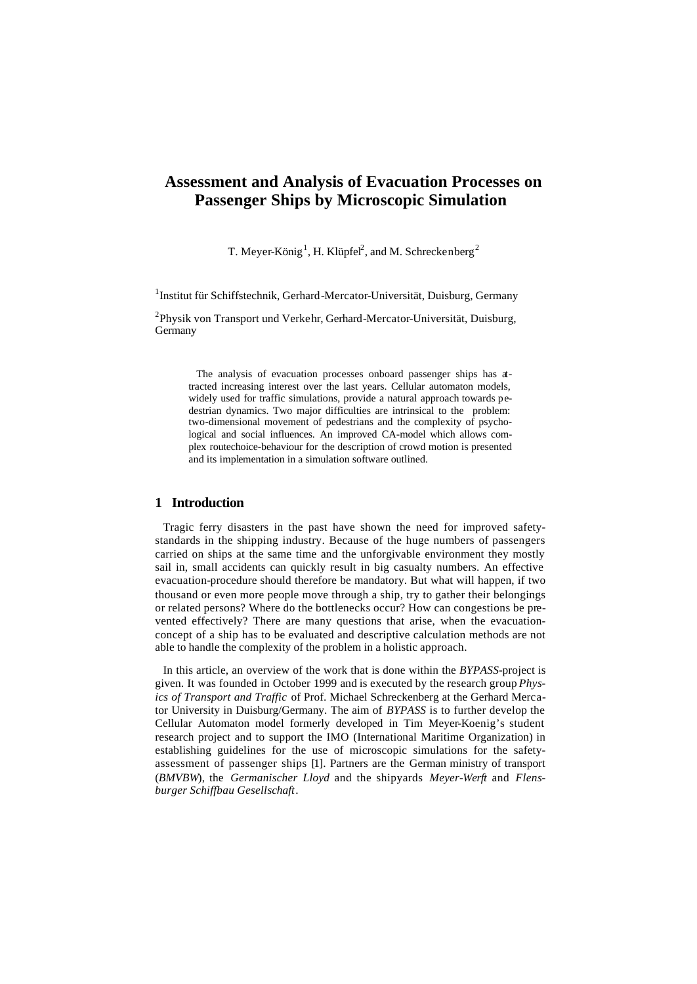# **Assessment and Analysis of Evacuation Processes on Passenger Ships by Microscopic Simulation**

T. Meyer-König<sup>1</sup>, H. Klüpfel<sup>2</sup>, and M. Schreckenberg<sup>2</sup>

<sup>1</sup>Institut für Schiffstechnik, Gerhard-Mercator-Universität, Duisburg, Germany

<sup>2</sup>Physik von Transport und Verkehr, Gerhard-Mercator-Universität, Duisburg, **Germany** 

The analysis of evacuation processes onboard passenger ships has attracted increasing interest over the last years. Cellular automaton models, widely used for traffic simulations, provide a natural approach towards pedestrian dynamics. Two major difficulties are intrinsical to the problem: two-dimensional movement of pedestrians and the complexity of psychological and social influences. An improved CA-model which allows complex routechoice-behaviour for the description of crowd motion is presented and its implementation in a simulation software outlined.

# **1 Introduction**

Tragic ferry disasters in the past have shown the need for improved safetystandards in the shipping industry. Because of the huge numbers of passengers carried on ships at the same time and the unforgivable environment they mostly sail in, small accidents can quickly result in big casualty numbers. An effective evacuation-procedure should therefore be mandatory. But what will happen, if two thousand or even more people move through a ship, try to gather their belongings or related persons? Where do the bottlenecks occur? How can congestions be prevented effectively? There are many questions that arise, when the evacuationconcept of a ship has to be evaluated and descriptive calculation methods are not able to handle the complexity of the problem in a holistic approach.

In this article, an overview of the work that is done within the *BYPASS*-project is given. It was founded in October 1999 and is executed by the research group *Physics of Transport and Traffic* of Prof. Michael Schreckenberg at the Gerhard Mercator University in Duisburg/Germany. The aim of *BYPASS* is to further develop the Cellular Automaton model formerly developed in Tim Meyer-Koenig's student research project and to support the IMO (International Maritime Organization) in establishing guidelines for the use of microscopic simulations for the safetyassessment of passenger ships [1]. Partners are the German ministry of transport (*BMVBW*), the *Germanischer Lloyd* and the shipyards *Meyer-Werft* and *Flensburger Schiffbau Gesellschaft*.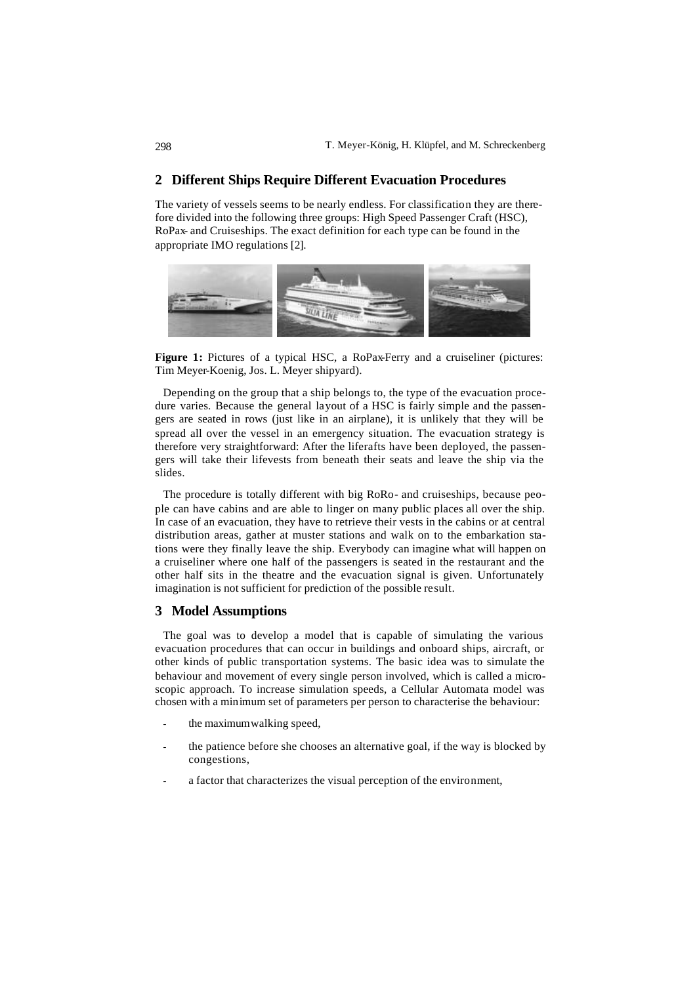### **2 Different Ships Require Different Evacuation Procedures**

The variety of vessels seems to be nearly endless. For classification they are therefore divided into the following three groups: High Speed Passenger Craft (HSC), RoPax- and Cruiseships. The exact definition for each type can be found in the appropriate IMO regulations [2].



**Figure 1:** Pictures of a typical HSC, a RoPax-Ferry and a cruiseliner (pictures: Tim Meyer-Koenig, Jos. L. Meyer shipyard).

Depending on the group that a ship belongs to, the type of the evacuation procedure varies. Because the general layout of a HSC is fairly simple and the passengers are seated in rows (just like in an airplane), it is unlikely that they will be spread all over the vessel in an emergency situation. The evacuation strategy is therefore very straightforward: After the liferafts have been deployed, the passengers will take their lifevests from beneath their seats and leave the ship via the slides.

The procedure is totally different with big RoRo- and cruiseships, because people can have cabins and are able to linger on many public places all over the ship. In case of an evacuation, they have to retrieve their vests in the cabins or at central distribution areas, gather at muster stations and walk on to the embarkation stations were they finally leave the ship. Everybody can imagine what will happen on a cruiseliner where one half of the passengers is seated in the restaurant and the other half sits in the theatre and the evacuation signal is given. Unfortunately imagination is not sufficient for prediction of the possible result.

# **3 Model Assumptions**

The goal was to develop a model that is capable of simulating the various evacuation procedures that can occur in buildings and onboard ships, aircraft, or other kinds of public transportation systems. The basic idea was to simulate the behaviour and movement of every single person involved, which is called a microscopic approach. To increase simulation speeds, a Cellular Automata model was chosen with a minimum set of parameters per person to characterise the behaviour:

- the maximum walking speed,
- the patience before she chooses an alternative goal, if the way is blocked by congestions,
- a factor that characterizes the visual perception of the environment,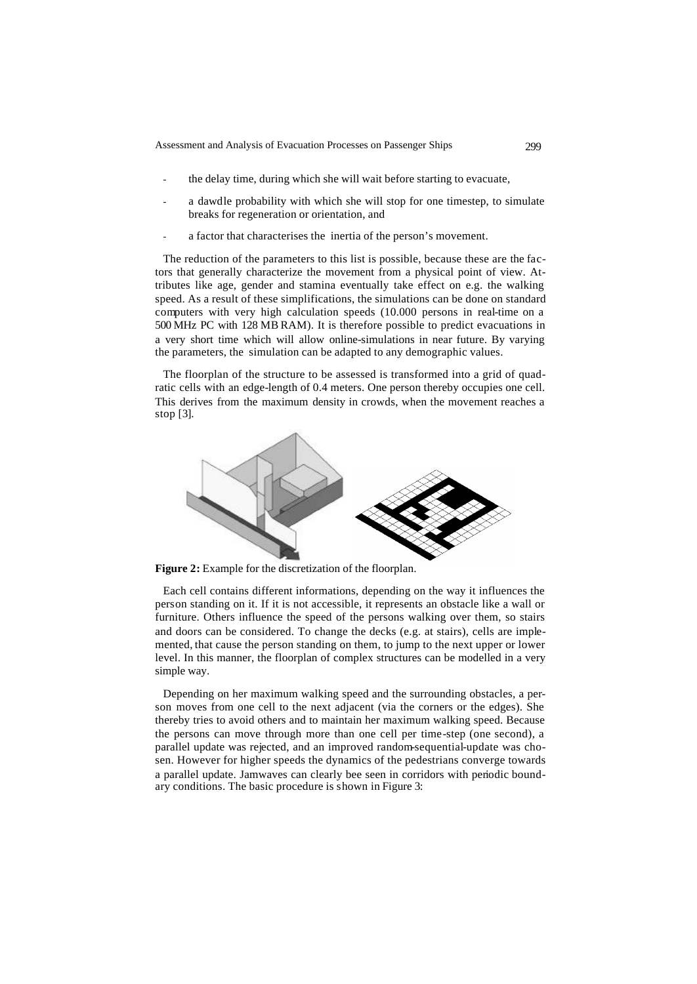- the delay time, during which she will wait before starting to evacuate,
- a dawdle probability with which she will stop for one timestep, to simulate breaks for regeneration or orientation, and
- a factor that characterises the inertia of the person's movement.

The reduction of the parameters to this list is possible, because these are the factors that generally characterize the movement from a physical point of view. Attributes like age, gender and stamina eventually take effect on e.g. the walking speed. As a result of these simplifications, the simulations can be done on standard computers with very high calculation speeds (10.000 persons in real-time on a 500 MHz PC with 128 MB RAM). It is therefore possible to predict evacuations in a very short time which will allow online-simulations in near future. By varying the parameters, the simulation can be adapted to any demographic values.

The floorplan of the structure to be assessed is transformed into a grid of quadratic cells with an edge-length of 0.4 meters. One person thereby occupies one cell. This derives from the maximum density in crowds, when the movement reaches a stop [3].



**Figure 2:** Example for the discretization of the floorplan.

Each cell contains different informations, depending on the way it influences the person standing on it. If it is not accessible, it represents an obstacle like a wall or furniture. Others influence the speed of the persons walking over them, so stairs and doors can be considered. To change the decks (e.g. at stairs), cells are implemented, that cause the person standing on them, to jump to the next upper or lower level. In this manner, the floorplan of complex structures can be modelled in a very simple way.

Depending on her maximum walking speed and the surrounding obstacles, a person moves from one cell to the next adjacent (via the corners or the edges). She thereby tries to avoid others and to maintain her maximum walking speed. Because the persons can move through more than one cell per time-step (one second), a parallel update was rejected, and an improved random-sequential-update was chosen. However for higher speeds the dynamics of the pedestrians converge towards a parallel update. Jamwaves can clearly bee seen in corridors with periodic boundary conditions. The basic procedure is shown in Figure 3: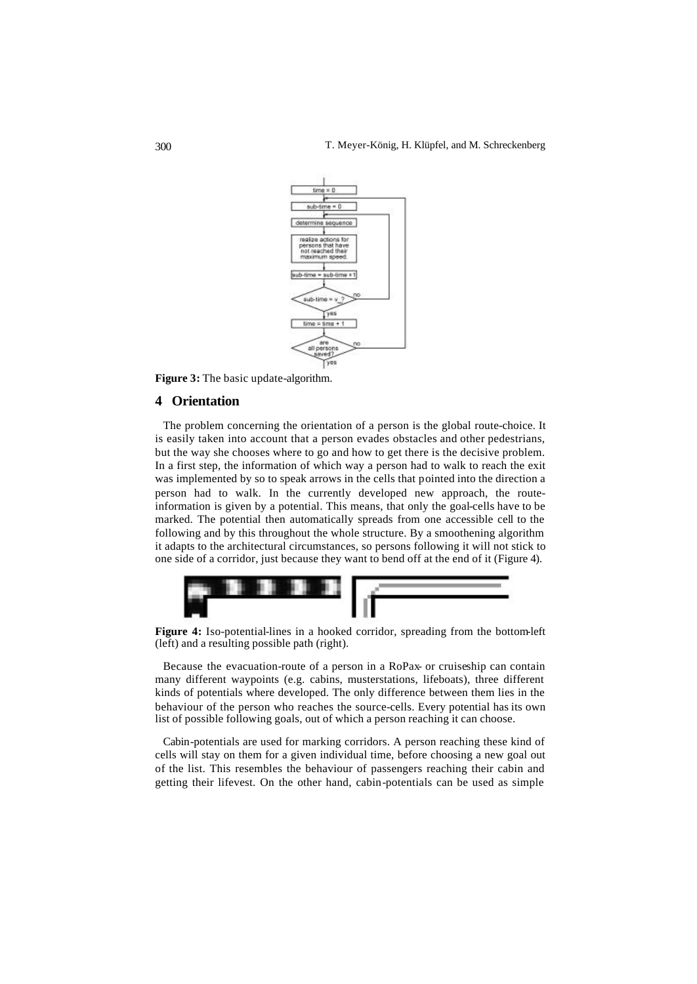

**Figure 3:** The basic update-algorithm.

## **4 Orientation**

The problem concerning the orientation of a person is the global route-choice. It is easily taken into account that a person evades obstacles and other pedestrians, but the way she chooses where to go and how to get there is the decisive problem. In a first step, the information of which way a person had to walk to reach the exit was implemented by so to speak arrows in the cells that pointed into the direction a person had to walk. In the currently developed new approach, the routeinformation is given by a potential. This means, that only the goal-cells have to be marked. The potential then automatically spreads from one accessible cell to the following and by this throughout the whole structure. By a smoothening algorithm it adapts to the architectural circumstances, so persons following it will not stick to one side of a corridor, just because they want to bend off at the end of it (Figure 4).



**Figure 4:** Iso-potential-lines in a hooked corridor, spreading from the bottom-left (left) and a resulting possible path (right).

Because the evacuation-route of a person in a RoPax- or cruiseship can contain many different waypoints (e.g. cabins, musterstations, lifeboats), three different kinds of potentials where developed. The only difference between them lies in the behaviour of the person who reaches the source-cells. Every potential has its own list of possible following goals, out of which a person reaching it can choose.

Cabin-potentials are used for marking corridors. A person reaching these kind of cells will stay on them for a given individual time, before choosing a new goal out of the list. This resembles the behaviour of passengers reaching their cabin and getting their lifevest. On the other hand, cabin-potentials can be used as simple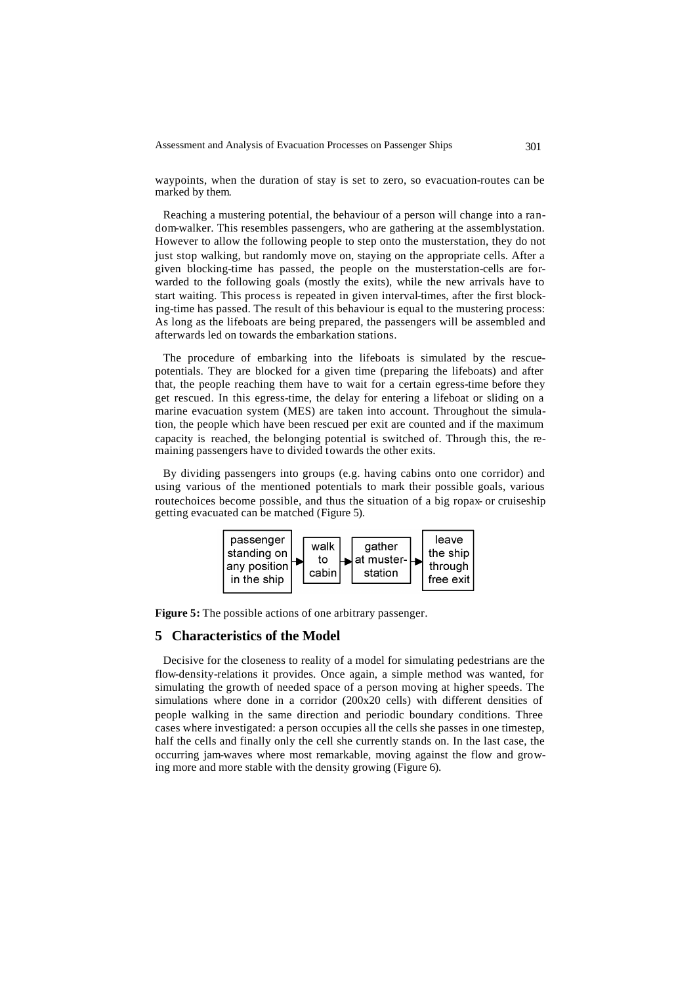waypoints, when the duration of stay is set to zero, so evacuation-routes can be marked by them.

Reaching a mustering potential, the behaviour of a person will change into a random-walker. This resembles passengers, who are gathering at the assemblystation. However to allow the following people to step onto the musterstation, they do not just stop walking, but randomly move on, staying on the appropriate cells. After a given blocking-time has passed, the people on the musterstation-cells are forwarded to the following goals (mostly the exits), while the new arrivals have to start waiting. This process is repeated in given interval-times, after the first blocking-time has passed. The result of this behaviour is equal to the mustering process: As long as the lifeboats are being prepared, the passengers will be assembled and afterwards led on towards the embarkation stations.

The procedure of embarking into the lifeboats is simulated by the rescuepotentials. They are blocked for a given time (preparing the lifeboats) and after that, the people reaching them have to wait for a certain egress-time before they get rescued. In this egress-time, the delay for entering a lifeboat or sliding on a marine evacuation system (MES) are taken into account. Throughout the simulation, the people which have been rescued per exit are counted and if the maximum capacity is reached, the belonging potential is switched of. Through this, the remaining passengers have to divided towards the other exits.

By dividing passengers into groups (e.g. having cabins onto one corridor) and using various of the mentioned potentials to mark their possible goals, various routechoices become possible, and thus the situation of a big ropax- or cruiseship getting evacuated can be matched (Figure 5).



**Figure 5:** The possible actions of one arbitrary passenger.

#### **5 Characteristics of the Model**

Decisive for the closeness to reality of a model for simulating pedestrians are the flow-density-relations it provides. Once again, a simple method was wanted, for simulating the growth of needed space of a person moving at higher speeds. The simulations where done in a corridor (200x20 cells) with different densities of people walking in the same direction and periodic boundary conditions. Three cases where investigated: a person occupies all the cells she passes in one timestep, half the cells and finally only the cell she currently stands on. In the last case, the occurring jam-waves where most remarkable, moving against the flow and growing more and more stable with the density growing (Figure 6).